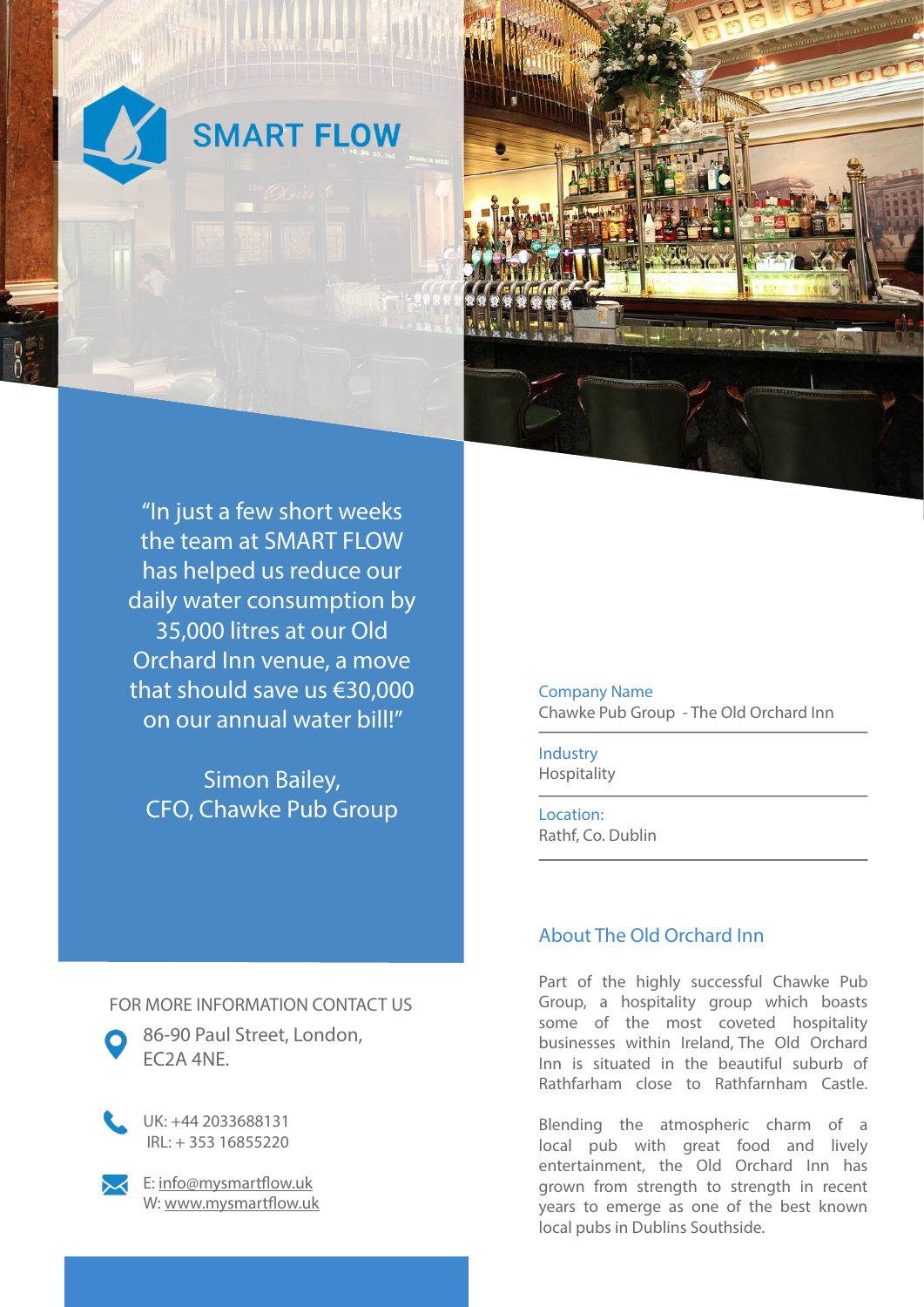



"In just a few short weeks the team at SMART FLOW has helped us reduce our daily water consumption by 35,000 litres at our Old Orchard Inn venue, a move that should save us €30,000 on our annual water bill!"

Simon Bailey, CFO, Chawke Pub Group Company Name Chawke Pub Group - The Old Orchard Inn

Industry Hospitality

Location: Rathf, Co. Dublin

## About The Old Orchard Inn

Part of the highly successful Chawke Pub Group, a hospitality group which boasts some of the most coveted hospitality businesses within Ireland, The Old Orchard Inn is situated in the beautiful suburb of Rathfarham close to Rathfarnham Castle.

Blending the atmospheric charm of a local pub with great food and lively entertainment, the Old Orchard Inn has grown from strength to strength in recent years to emerge as one of the best known local pubs in Dublins Southside.

FOR MORE INFORMATION CONTACT US



86-90 Paul Street, London, EC2A 4NE.

UK: +44 2033688131 IRL: + 353 16855220



E: info@mysmartflow.uk W: www.mysmartflow.uk